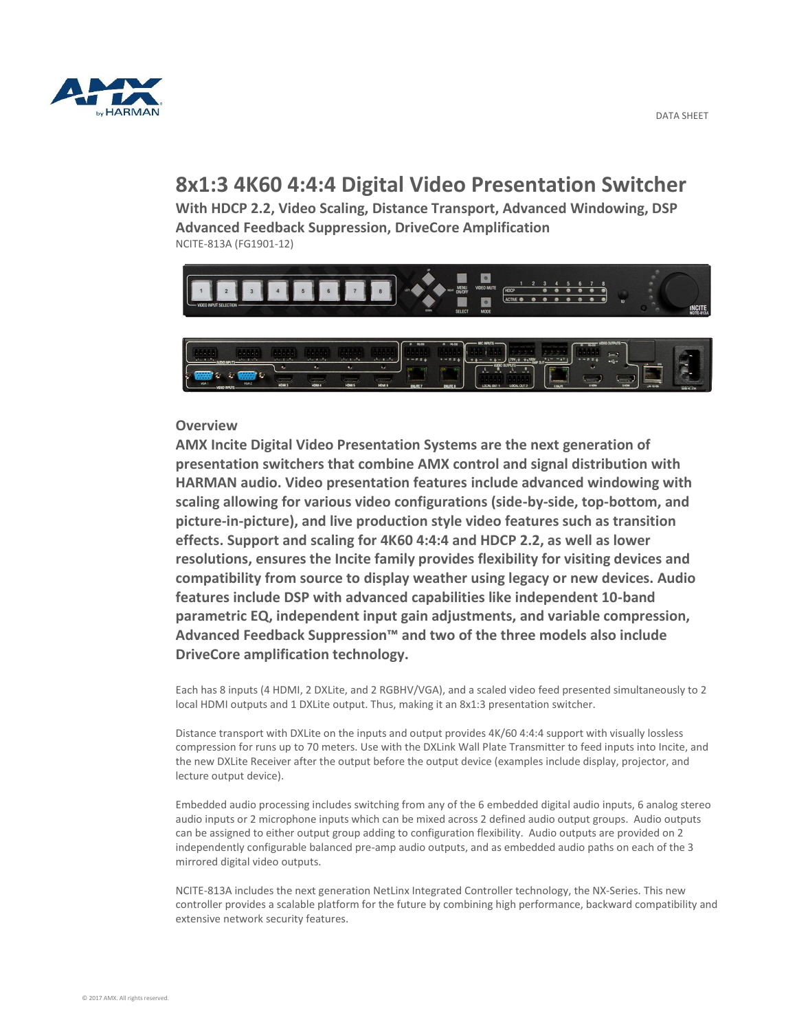

# **8x1:3 4K60 4:4:4 Digital Video Presentation Switcher**

**With HDCP 2.2, Video Scaling, Distance Transport, Advanced Windowing, DSP Advanced Feedback Suppression, DriveCore Amplification** NCITE-813A (FG1901-12)



## **Overview**

**AMX Incite Digital Video Presentation Systems are the next generation of presentation switchers that combine AMX control and signal distribution with HARMAN audio. Video presentation features include advanced windowing with scaling allowing for various video configurations (side-by-side, top-bottom, and picture-in-picture), and live production style video features such as transition effects. Support and scaling for 4K60 4:4:4 and HDCP 2.2, as well as lower resolutions, ensures the Incite family provides flexibility for visiting devices and compatibility from source to display weather using legacy or new devices. Audio features include DSP with advanced capabilities like independent 10-band parametric EQ, independent input gain adjustments, and variable compression, Advanced Feedback Suppression™ and two of the three models also include DriveCore amplification technology.**

Each has 8 inputs (4 HDMI, 2 DXLite, and 2 RGBHV/VGA), and a scaled video feed presented simultaneously to 2 local HDMI outputs and 1 DXLite output. Thus, making it an 8x1:3 presentation switcher.

Distance transport with DXLite on the inputs and output provides 4K/60 4:4:4 support with visually lossless compression for runs up to 70 meters. Use with the DXLink Wall Plate Transmitter to feed inputs into Incite, and the new DXLite Receiver after the output before the output device (examples include display, projector, and lecture output device).

Embedded audio processing includes switching from any of the 6 embedded digital audio inputs, 6 analog stereo audio inputs or 2 microphone inputs which can be mixed across 2 defined audio output groups. Audio outputs can be assigned to either output group adding to configuration flexibility. Audio outputs are provided on 2 independently configurable balanced pre-amp audio outputs, and as embedded audio paths on each of the 3 mirrored digital video outputs.

NCITE-813A includes the next generation NetLinx Integrated Controller technology, the NX-Series. This new controller provides a scalable platform for the future by combining high performance, backward compatibility and extensive network security features.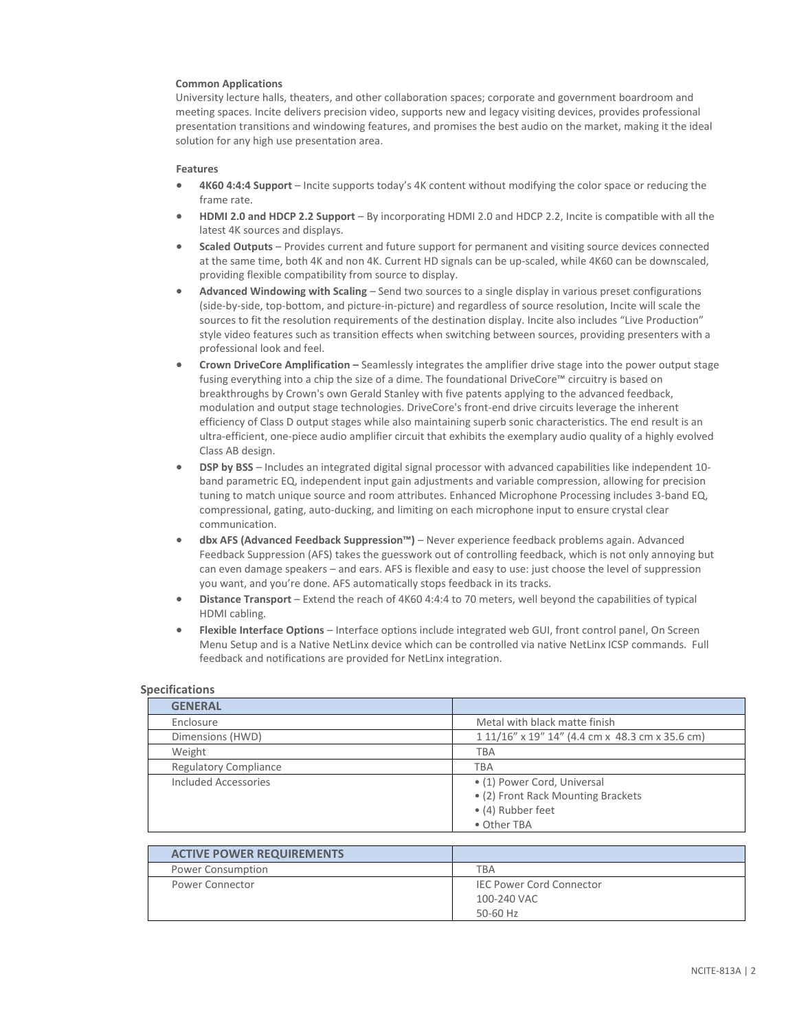#### **Common Applications**

University lecture halls, theaters, and other collaboration spaces; corporate and government boardroom and meeting spaces. Incite delivers precision video, supports new and legacy visiting devices, provides professional presentation transitions and windowing features, and promises the best audio on the market, making it the ideal solution for any high use presentation area.

#### **Features**

- **4K60 4:4:4 Support** Incite supports today's 4K content without modifying the color space or reducing the frame rate.
- **HDMI 2.0 and HDCP 2.2 Support** By incorporating HDMI 2.0 and HDCP 2.2, Incite is compatible with all the latest 4K sources and displays.
- **Scaled Outputs** Provides current and future support for permanent and visiting source devices connected at the same time, both 4K and non 4K. Current HD signals can be up-scaled, while 4K60 can be downscaled, providing flexible compatibility from source to display.
- **Advanced Windowing with Scaling** Send two sources to a single display in various preset configurations (side-by-side, top-bottom, and picture-in-picture) and regardless of source resolution, Incite will scale the sources to fit the resolution requirements of the destination display. Incite also includes "Live Production" style video features such as transition effects when switching between sources, providing presenters with a professional look and feel.
- **Crown DriveCore Amplification –** Seamlessly integrates the amplifier drive stage into the power output stage fusing everything into a chip the size of a dime. The foundational DriveCore™ circuitry is based on breakthroughs by Crown's own Gerald Stanley with five patents applying to the advanced feedback, modulation and output stage technologies. DriveCore's front-end drive circuits leverage the inherent efficiency of Class D output stages while also maintaining superb sonic characteristics. The end result is an ultra-efficient, one-piece audio amplifier circuit that exhibits the exemplary audio quality of a highly evolved Class AB design.
- **DSP by BSS** Includes an integrated digital signal processor with advanced capabilities like independent 10 band parametric EQ, independent input gain adjustments and variable compression, allowing for precision tuning to match unique source and room attributes. Enhanced Microphone Processing includes 3-band EQ, compressional, gating, auto-ducking, and limiting on each microphone input to ensure crystal clear communication.
- **dbx AFS (Advanced Feedback Suppression™)** Never experience feedback problems again. Advanced Feedback Suppression (AFS) takes the guesswork out of controlling feedback, which is not only annoying but can even damage speakers – and ears. AFS is flexible and easy to use: just choose the level of suppression you want, and you're done. AFS automatically stops feedback in its tracks.
- **Distance Transport** Extend the reach of 4K60 4:4:4 to 70 meters, well beyond the capabilities of typical HDMI cabling.
- **Flexible Interface Options** Interface options include integrated web GUI, front control panel, On Screen Menu Setup and is a Native NetLinx device which can be controlled via native NetLinx ICSP commands. Full feedback and notifications are provided for NetLinx integration.

| ,,,,,,,,,,,,,,,,,            |                                                 |
|------------------------------|-------------------------------------------------|
| <b>GENERAL</b>               |                                                 |
| Enclosure                    | Metal with black matte finish                   |
| Dimensions (HWD)             | 1 11/16" x 19" 14" (4.4 cm x 48.3 cm x 35.6 cm) |
| Weight                       | TBA                                             |
| <b>Regulatory Compliance</b> | <b>TBA</b>                                      |
| Included Accessories         | • (1) Power Cord, Universal                     |
|                              | • (2) Front Rack Mounting Brackets              |
|                              | • (4) Rubber feet                               |
|                              | • Other TBA                                     |

### **Specifications**

| <b>ACTIVE POWER REQUIREMENTS</b> |                                 |
|----------------------------------|---------------------------------|
| <b>Power Consumption</b>         | TBA                             |
| <b>Power Connector</b>           | <b>IEC Power Cord Connector</b> |
|                                  | 100-240 VAC                     |
|                                  | 50-60 Hz                        |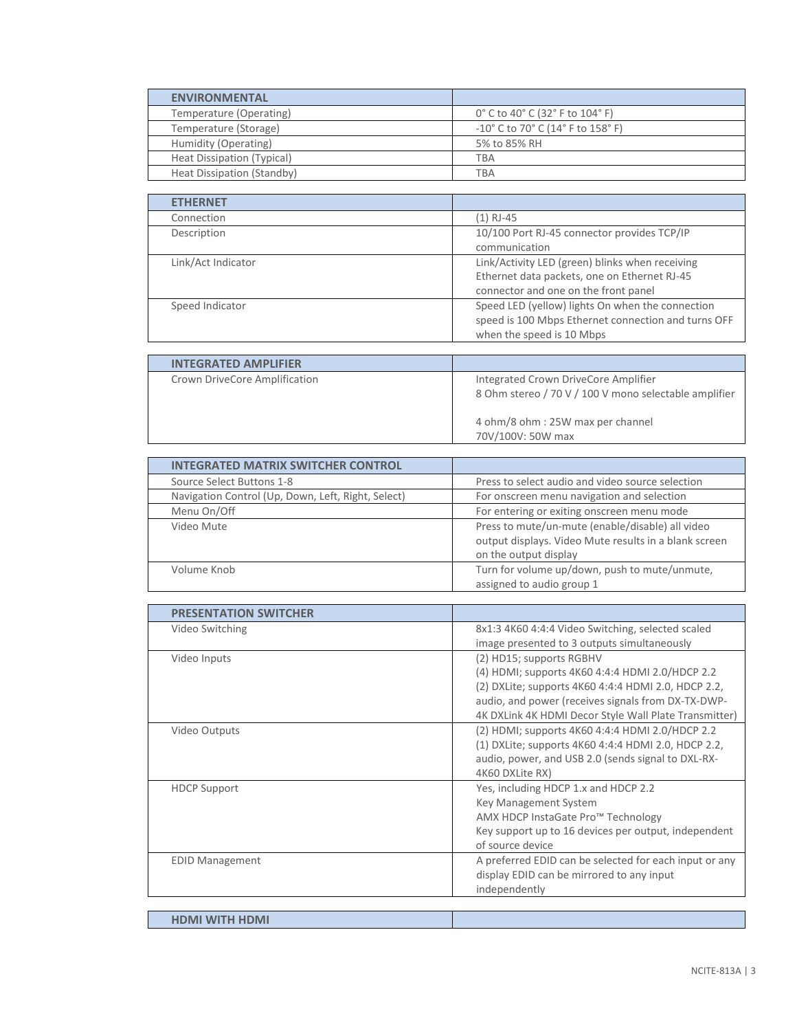| <b>ENVIRONMENTAL</b>       |                                                                          |
|----------------------------|--------------------------------------------------------------------------|
| Temperature (Operating)    | 0° C to 40° C (32° F to 104° F)                                          |
| Temperature (Storage)      | $-10^{\circ}$ C to 70 $^{\circ}$ C (14 $^{\circ}$ F to 158 $^{\circ}$ F) |
| Humidity (Operating)       | 5% to 85% RH                                                             |
| Heat Dissipation (Typical) | TBA                                                                      |
| Heat Dissipation (Standby) | TBA                                                                      |

| <b>ETHERNET</b>    |                                                     |
|--------------------|-----------------------------------------------------|
| Connection         | $(1)$ RJ-45                                         |
| Description        | 10/100 Port RJ-45 connector provides TCP/IP         |
|                    | communication                                       |
| Link/Act Indicator | Link/Activity LED (green) blinks when receiving     |
|                    | Ethernet data packets, one on Ethernet RJ-45        |
|                    | connector and one on the front panel                |
| Speed Indicator    | Speed LED (yellow) lights On when the connection    |
|                    | speed is 100 Mbps Ethernet connection and turns OFF |
|                    | when the speed is 10 Mbps                           |

| <b>INTEGRATED AMPLIFIER</b>   |                                                                                               |
|-------------------------------|-----------------------------------------------------------------------------------------------|
| Crown DriveCore Amplification | Integrated Crown DriveCore Amplifier<br>8 Ohm stereo / 70 V / 100 V mono selectable amplifier |
|                               | 4 ohm/8 ohm: 25W max per channel<br>70V/100V: 50W max                                         |

| <b>INTEGRATED MATRIX SWITCHER CONTROL</b>          |                                                                                                                                    |
|----------------------------------------------------|------------------------------------------------------------------------------------------------------------------------------------|
| Source Select Buttons 1-8                          | Press to select audio and video source selection                                                                                   |
| Navigation Control (Up, Down, Left, Right, Select) | For onscreen menu navigation and selection                                                                                         |
| Menu On/Off                                        | For entering or exiting onscreen menu mode                                                                                         |
| Video Mute                                         | Press to mute/un-mute (enable/disable) all video<br>output displays. Video Mute results in a blank screen<br>on the output display |
| Volume Knob                                        | Turn for volume up/down, push to mute/unmute,<br>assigned to audio group 1                                                         |

| <b>PRESENTATION SWITCHER</b> |                                                        |
|------------------------------|--------------------------------------------------------|
| Video Switching              | 8x1:3 4K60 4:4:4 Video Switching, selected scaled      |
|                              | image presented to 3 outputs simultaneously            |
| Video Inputs                 | (2) HD15; supports RGBHV                               |
|                              | (4) HDMI; supports 4K60 4:4:4 HDMI 2.0/HDCP 2.2        |
|                              | (2) DXLite; supports 4K60 4:4:4 HDMI 2.0, HDCP 2.2,    |
|                              | audio, and power (receives signals from DX-TX-DWP-     |
|                              | 4K DXLink 4K HDMI Decor Style Wall Plate Transmitter)  |
| Video Outputs                | (2) HDMI; supports 4K60 4:4:4 HDMI 2.0/HDCP 2.2        |
|                              | (1) DXLite; supports 4K60 4:4:4 HDMI 2.0, HDCP 2.2,    |
|                              | audio, power, and USB 2.0 (sends signal to DXL-RX-     |
|                              | 4K60 DXLite RX)                                        |
| <b>HDCP Support</b>          | Yes, including HDCP 1.x and HDCP 2.2                   |
|                              | Key Management System                                  |
|                              | AMX HDCP InstaGate Pro™ Technology                     |
|                              | Key support up to 16 devices per output, independent   |
|                              | of source device                                       |
|                              |                                                        |
| <b>EDID Management</b>       | A preferred EDID can be selected for each input or any |
|                              | display EDID can be mirrored to any input              |
|                              | independently                                          |
|                              |                                                        |
| <b>HDMI WITH HDMI</b>        |                                                        |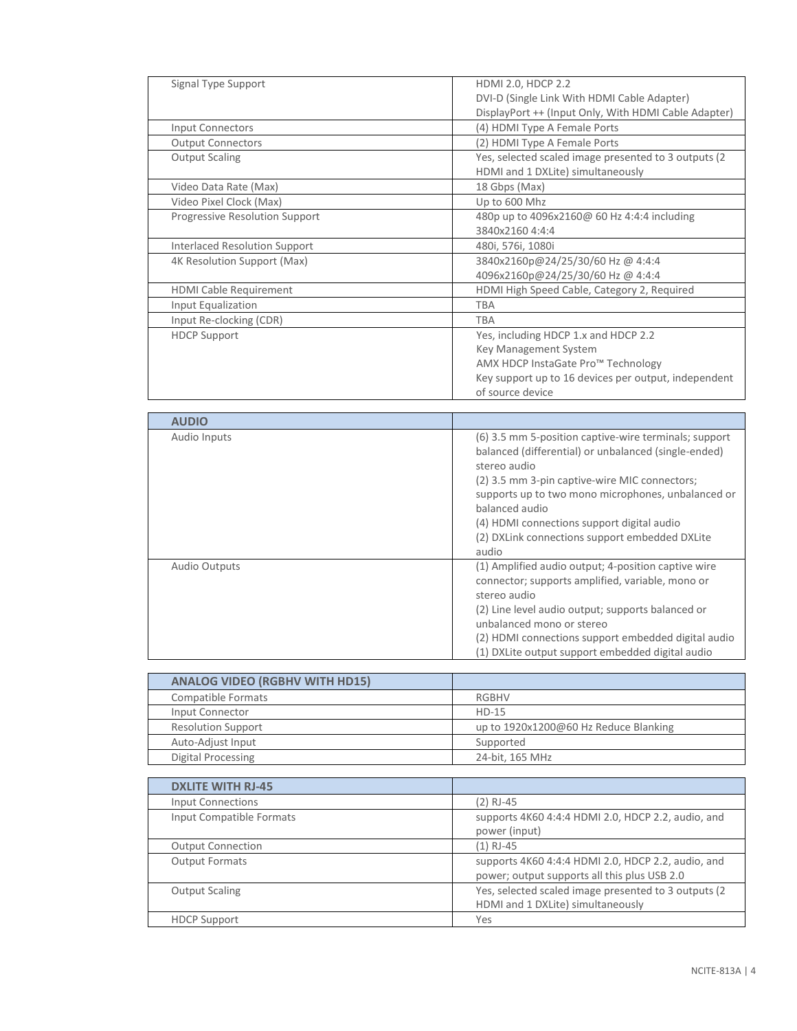| Signal Type Support            | <b>HDMI 2.0, HDCP 2.2</b>                             |
|--------------------------------|-------------------------------------------------------|
|                                | DVI-D (Single Link With HDMI Cable Adapter)           |
|                                | DisplayPort ++ (Input Only, With HDMI Cable Adapter)  |
| <b>Input Connectors</b>        | (4) HDMI Type A Female Ports                          |
| <b>Output Connectors</b>       | (2) HDMI Type A Female Ports                          |
| <b>Output Scaling</b>          | Yes, selected scaled image presented to 3 outputs (2) |
|                                | HDMI and 1 DXLite) simultaneously                     |
| Video Data Rate (Max)          | 18 Gbps (Max)                                         |
| Video Pixel Clock (Max)        | Up to 600 Mhz                                         |
| Progressive Resolution Support | 480p up to 4096x2160@ 60 Hz 4:4:4 including           |
|                                | 3840x2160 4:4:4                                       |
| Interlaced Resolution Support  | 480i, 576i, 1080i                                     |
| 4K Resolution Support (Max)    | 3840x2160p@24/25/30/60 Hz @ 4:4:4                     |
|                                | 4096x2160p@24/25/30/60 Hz @ 4:4:4                     |
| <b>HDMI Cable Requirement</b>  | HDMI High Speed Cable, Category 2, Required           |
| Input Equalization             | <b>TBA</b>                                            |
| Input Re-clocking (CDR)        | <b>TBA</b>                                            |
| <b>HDCP Support</b>            | Yes, including HDCP 1.x and HDCP 2.2                  |
|                                | Key Management System                                 |
|                                | AMX HDCP InstaGate Pro™ Technology                    |
|                                | Key support up to 16 devices per output, independent  |
|                                | of source device                                      |

| <b>AUDIO</b>         |                                                                                                                                                                                                                                                                                                                                                                 |
|----------------------|-----------------------------------------------------------------------------------------------------------------------------------------------------------------------------------------------------------------------------------------------------------------------------------------------------------------------------------------------------------------|
| Audio Inputs         | (6) 3.5 mm 5-position captive-wire terminals; support<br>balanced (differential) or unbalanced (single-ended)<br>stereo audio<br>(2) 3.5 mm 3-pin captive-wire MIC connectors;<br>supports up to two mono microphones, unbalanced or<br>balanced audio<br>(4) HDMI connections support digital audio<br>(2) DXLink connections support embedded DXLite<br>audio |
| <b>Audio Outputs</b> | (1) Amplified audio output; 4-position captive wire<br>connector; supports amplified, variable, mono or<br>stereo audio<br>(2) Line level audio output; supports balanced or<br>unbalanced mono or stereo<br>(2) HDMI connections support embedded digital audio<br>(1) DXLite output support embedded digital audio                                            |

| <b>ANALOG VIDEO (RGBHV WITH HD15)</b> |                                       |
|---------------------------------------|---------------------------------------|
| Compatible Formats                    | RGBHV                                 |
| Input Connector                       | $HD-15$                               |
| <b>Resolution Support</b>             | up to 1920x1200@60 Hz Reduce Blanking |
| Auto-Adjust Input                     | Supported                             |
| Digital Processing                    | 24-bit, 165 MHz                       |

| <b>DXLITE WITH RJ-45</b> |                                                                                                    |
|--------------------------|----------------------------------------------------------------------------------------------------|
| <b>Input Connections</b> | $(2)$ RJ-45                                                                                        |
| Input Compatible Formats | supports 4K60 4:4:4 HDMI 2.0, HDCP 2.2, audio, and<br>power (input)                                |
| <b>Output Connection</b> | $(1)$ RJ-45                                                                                        |
| <b>Output Formats</b>    | supports 4K60 4:4:4 HDMI 2.0, HDCP 2.2, audio, and<br>power; output supports all this plus USB 2.0 |
| <b>Output Scaling</b>    | Yes, selected scaled image presented to 3 outputs (2<br>HDMI and 1 DXLite) simultaneously          |
| <b>HDCP Support</b>      | Yes                                                                                                |